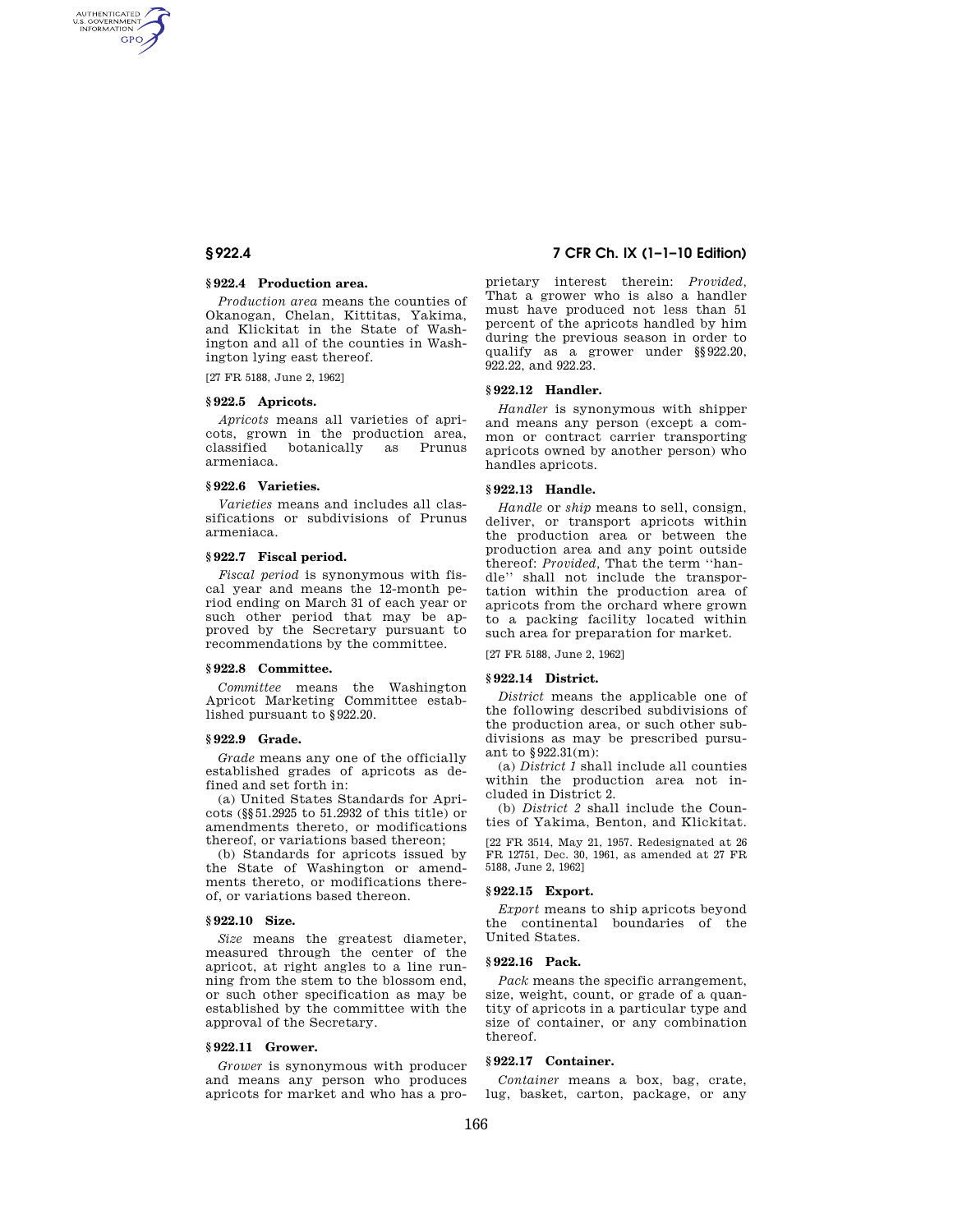AUTHENTICATED<br>U.S. GOVERNMENT<br>INFORMATION **GPO** 

#### **§ 922.4 Production area.**

*Production area* means the counties of Okanogan, Chelan, Kittitas, Yakima, and Klickitat in the State of Washington and all of the counties in Washington lying east thereof.

[27 FR 5188, June 2, 1962]

#### **§ 922.5 Apricots.**

*Apricots* means all varieties of apricots, grown in the production area, classified botanically as Prunus armeniaca.

## **§ 922.6 Varieties.**

*Varieties* means and includes all classifications or subdivisions of Prunus armeniaca.

#### **§ 922.7 Fiscal period.**

*Fiscal period* is synonymous with fiscal year and means the 12-month period ending on March 31 of each year or such other period that may be approved by the Secretary pursuant to recommendations by the committee.

#### **§ 922.8 Committee.**

*Committee* means the Washington Apricot Marketing Committee established pursuant to §922.20.

#### **§ 922.9 Grade.**

*Grade* means any one of the officially established grades of apricots as defined and set forth in:

(a) United States Standards for Apricots (§§51.2925 to 51.2932 of this title) or amendments thereto, or modifications thereof, or variations based thereon;

(b) Standards for apricots issued by the State of Washington or amendments thereto, or modifications thereof, or variations based thereon.

#### **§ 922.10 Size.**

*Size* means the greatest diameter, measured through the center of the apricot, at right angles to a line running from the stem to the blossom end, or such other specification as may be established by the committee with the approval of the Secretary.

#### **§ 922.11 Grower.**

*Grower* is synonymous with producer and means any person who produces apricots for market and who has a pro-

# **§ 922.4 7 CFR Ch. IX (1–1–10 Edition)**

prietary interest therein: *Provided,*  That a grower who is also a handler must have produced not less than 51 percent of the apricots handled by him during the previous season in order to qualify as a grower under §§922.20, 922.22, and 922.23.

#### **§ 922.12 Handler.**

*Handler* is synonymous with shipper and means any person (except a common or contract carrier transporting apricots owned by another person) who handles apricots.

#### **§ 922.13 Handle.**

*Handle* or *ship* means to sell, consign, deliver, or transport apricots within the production area or between the production area and any point outside thereof: *Provided,* That the term ''handle'' shall not include the transportation within the production area of apricots from the orchard where grown to a packing facility located within such area for preparation for market.

[27 FR 5188, June 2, 1962]

#### **§ 922.14 District.**

*District* means the applicable one of the following described subdivisions of the production area, or such other subdivisions as may be prescribed pursuant to §922.31(m):

(a) *District 1* shall include all counties within the production area not included in District 2.

(b) *District 2* shall include the Counties of Yakima, Benton, and Klickitat.

[22 FR 3514, May 21, 1957. Redesignated at 26 FR 12751, Dec. 30, 1961, as amended at 27 FR 5188, June 2, 1962]

### **§ 922.15 Export.**

*Export* means to ship apricots beyond the continental boundaries of the United States.

#### **§ 922.16 Pack.**

*Pack* means the specific arrangement, size, weight, count, or grade of a quantity of apricots in a particular type and size of container, or any combination thereof.

# **§ 922.17 Container.**

*Container* means a box, bag, crate, lug, basket, carton, package, or any